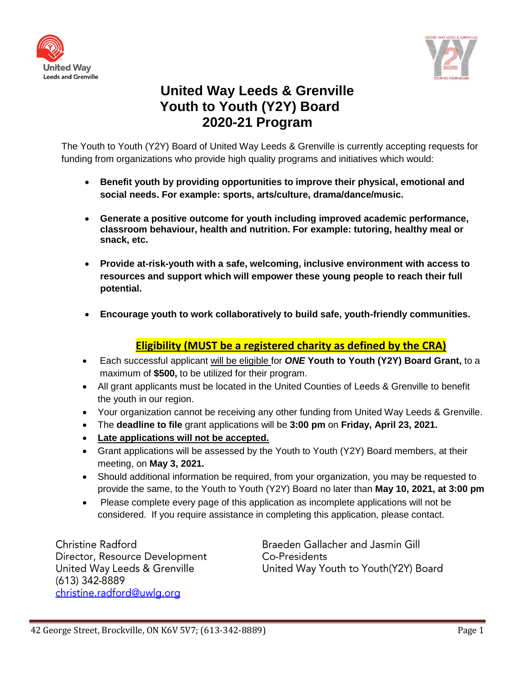



## **United Way Leeds & Grenville Youth to Youth (Y2Y) Board 2020-21 Program**

The Youth to Youth (Y2Y) Board of United Way Leeds & Grenville is currently accepting requests for funding from organizations who provide high quality programs and initiatives which would:

- **Benefit youth by providing opportunities to improve their physical, emotional and social needs. For example: sports, arts/culture, drama/dance/music.**
- **Generate a positive outcome for youth including improved academic performance, classroom behaviour, health and nutrition. For example: tutoring, healthy meal or snack, etc.**
- **Provide at-risk-youth with a safe, welcoming, inclusive environment with access to resources and support which will empower these young people to reach their full potential.**
- **Encourage youth to work collaboratively to build safe, youth-friendly communities.**

## **Eligibility (MUST be a registered charity as defined by the CRA)**

- Each successful applicant will be eligible for *ONE* **Youth to Youth (Y2Y) Board Grant,** to a maximum of **\$500,** to be utilized for their program.
- All grant applicants must be located in the United Counties of Leeds & Grenville to benefit the youth in our region.
- Your organization cannot be receiving any other funding from United Way Leeds & Grenville.
- The **deadline to file** grant applications will be **3:00 pm** on **Friday, April 23, 2021.**
- **Late applications will not be accepted.**
- Grant applications will be assessed by the Youth to Youth (Y2Y) Board members, at their meeting, on **May 3, 2021.**
- Should additional information be required, from your organization, you may be requested to provide the same, to the Youth to Youth (Y2Y) Board no later than **May 10, 2021, at 3:00 pm**
- Please complete every page of this application as incomplete applications will not be considered. If you require assistance in completing this application, please contact.

Christine Radford Director, Resource Development United Way Leeds & Grenville (613) 342-8889 christine.radford@uwlg.org

Braeden Gallacher and Jasmin Gill Co-Presidents United Way Youth to Youth(Y2Y) Board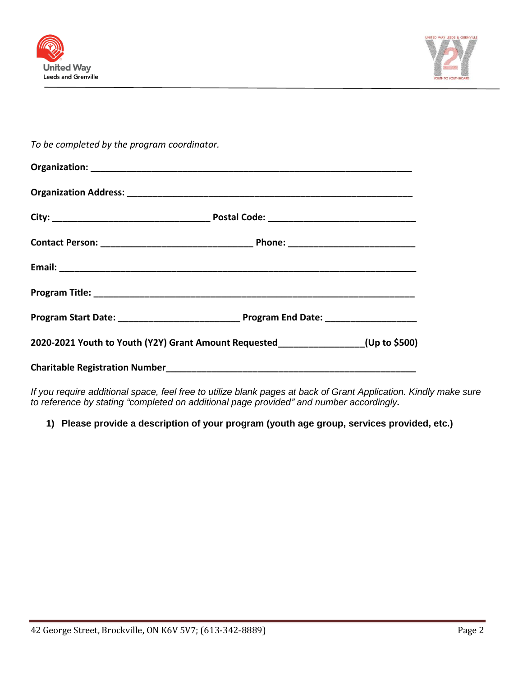



*To be completed by the program coordinator.*

| Program Start Date: __________________________________ Program End Date: __________________________ |  |  |
|-----------------------------------------------------------------------------------------------------|--|--|
| 2020-2021 Youth to Youth (Y2Y) Grant Amount Requested ______________(Up to \$500)                   |  |  |
|                                                                                                     |  |  |

*If you require additional space, feel free to utilize blank pages at back of Grant Application. Kindly make sure to reference by stating "completed on additional page provided" and number accordingly***.**

**1) Please provide a description of your program (youth age group, services provided, etc.)**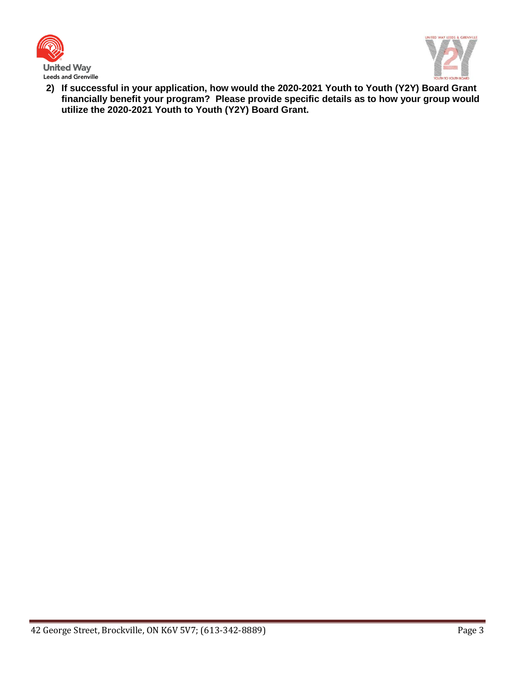



**2) If successful in your application, how would the 2020-2021 Youth to Youth (Y2Y) Board Grant financially benefit your program? Please provide specific details as to how your group would utilize the 2020-2021 Youth to Youth (Y2Y) Board Grant.**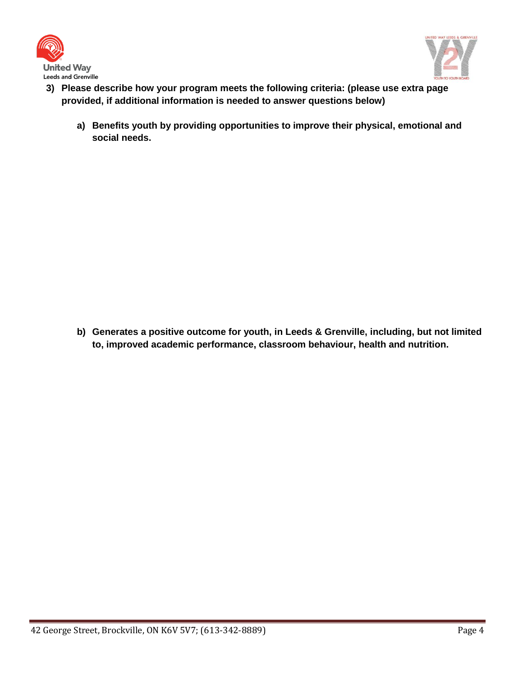



- **3) Please describe how your program meets the following criteria: (please use extra page provided, if additional information is needed to answer questions below)** 
	- **a) Benefits youth by providing opportunities to improve their physical, emotional and social needs.**

**b) Generates a positive outcome for youth, in Leeds & Grenville, including, but not limited to, improved academic performance, classroom behaviour, health and nutrition.**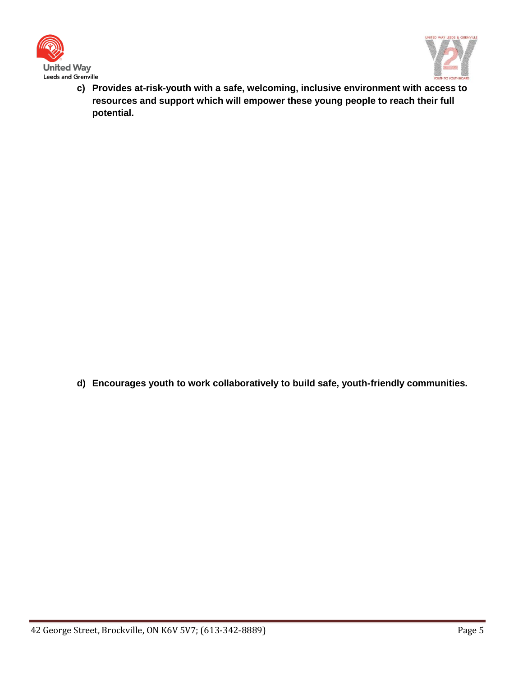



**c) Provides at-risk-youth with a safe, welcoming, inclusive environment with access to resources and support which will empower these young people to reach their full potential.**

**d) Encourages youth to work collaboratively to build safe, youth-friendly communities.**